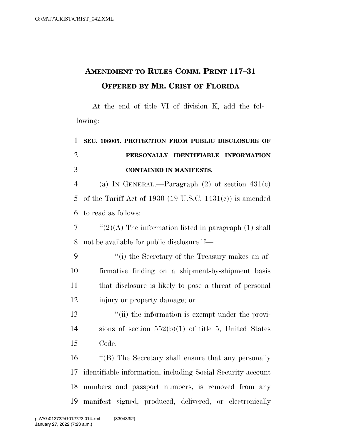## **AMENDMENT TO RULES COMM. PRINT 117–31 OFFERED BY MR. CRIST OF FLORIDA**

At the end of title VI of division K, add the following:

## **SEC. 106005. PROTECTION FROM PUBLIC DISCLOSURE OF PERSONALLY IDENTIFIABLE INFORMATION CONTAINED IN MANIFESTS.**

4 (a) IN GENERAL.—Paragraph  $(2)$  of section  $431(c)$  of the Tariff Act of 1930 (19 U.S.C. 1431(c)) is amended to read as follows:

7  $\frac{1}{2}(2)(A)$  The information listed in paragraph (1) shall not be available for public disclosure if—

- ''(i) the Secretary of the Treasury makes an af- firmative finding on a shipment-by-shipment basis that disclosure is likely to pose a threat of personal injury or property damage; or
- 13 ''(ii) the information is exempt under the provi- sions of section 552(b)(1) of title 5, United States Code.

 ''(B) The Secretary shall ensure that any personally identifiable information, including Social Security account numbers and passport numbers, is removed from any manifest signed, produced, delivered, or electronically